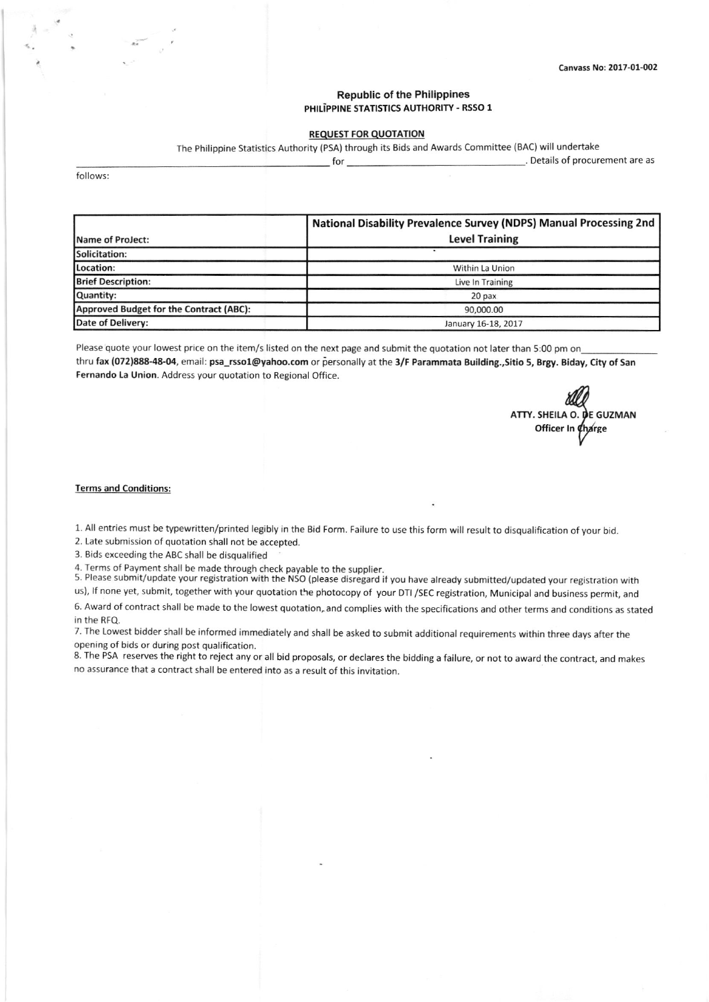## **Republic of the Philippines** PHILIPPINE STATISTICS AUTHORITY - RSSO 1

## R€QUEST FOR QUOTATION

The Philippine Statistics Authority (PSA) through its Bids and Awards Committee (BAC) will undertake

lot of procurement are as  $\sim$  . Details of procurement are as

follows:

|                                         | National Disability Prevalence Survey (NDPS) Manual Processing 2nd |  |  |  |
|-----------------------------------------|--------------------------------------------------------------------|--|--|--|
| Name of ProJect:                        | <b>Level Training</b>                                              |  |  |  |
| Solicitation:                           |                                                                    |  |  |  |
| Location:                               | Within La Union                                                    |  |  |  |
| <b>Brief Description:</b>               | Live In Training                                                   |  |  |  |
| Quantity:                               | 20 <sub>px</sub>                                                   |  |  |  |
| Approved Budget for the Contract (ABC): | 90,000.00                                                          |  |  |  |
| Date of Delivery:                       | January 16-18, 2017                                                |  |  |  |

Please quote your lowest price on the item/s listed on the next page and submit the quotation not later than 5:00 pm on thru fax (072)888-48-04, email: psa\_rsso1@yahoo.com or personally at the 3/F Parammata Building.,Sitio 5, Brgy. Biday, City of San Fernando La Union. Address your quotation to Regional Office.

ALL O. DE GUZMAN Officer In Charge K<sub>r</sub>

#### Terms and Conditions

1. All entries must be typewritten/printed legibly in the Bid Form. Failure to use this form will result to disqualification of your bid.

2. Late submission of quotation shall not be accepted.

3. Bids exceeding the ABC shall be disqualified

4. Terms of Payment shall be made through check payable to the supplier.<br>5. Please submit/update your registration with the NSO (please disregard if you have already submitted/updated your registration with us), lf none yet, submit, together with your quotation the photocopy of your DTI /5EC registration, Municipal and business permit, and

6. Award of contract shall be made to the lowest quotation, and complies with the specifications and other terms and conditions as stated in the RFQ.

7. The Lowest bidder shall be informed immediately and shall be asked to submit additional requirements within three days after the opening of bids or during post qualification.

8. The PSA reserves the right to reject any or all bid proposals, or declares the bidding a failure, or not to award the contract, and makes no assurance that a contract shall be entered into as a result of this invitation.